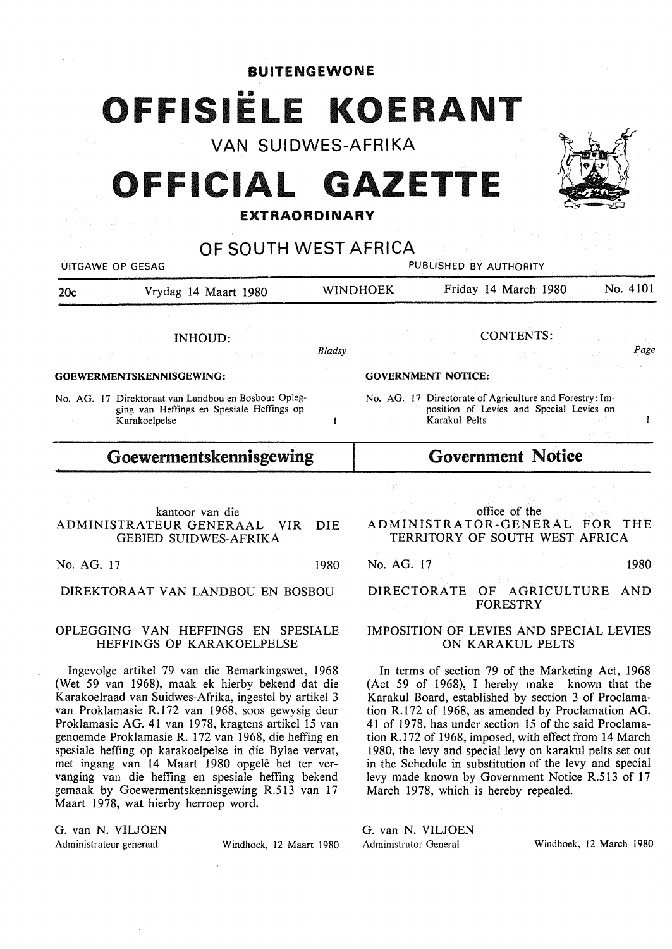**BUITENGEWONE** 

# OFFISIËLE KOERANT VAN SUIDWES-AFRIKA

# **OFFICIAL GAZETTE**

### **EXTRAORDINARY**



DIREKTORAAT VAN LANDBOU EN BOSBOU

### OPLEGGING VAN HEFFINGS EN SPESIALE HEFFINGS OP KARAKOELPELSE

lngevolge artikel 79 van die Bemarkingswet, 1968 (Wet 59 van 1968), maak ek hierby bekend dat die Karakoelraad van Suidwes-Afrika, ingestel by artikel 3 van Proklamasie R.172 van 1968, soos gewysig deur Proklamasie AG. 41 van 1978, kragtens artikel 15 van genoemde Proklamasie R. 172 van 1968, die heffing en spesiale heffing op karakoelpelse in die Bylae vervat, met ingang van 14 Maart 1980 opgele het ter vervanging van die heffing en spesiale heffing bekend gemaak by Goewermentskennisgewing R.513 van 17 Maart 1978, wat hierby herroep word.

G. van N. VILJOEN Administrateur-generaal Windhoek, 12 Maart 1980

DIRECTORATE OF AGRICULTURE AND FORESTRY

### IMPOSITION OF LEVIES AND SPECIAL LEVIES ON KARAKUL PELTS

In terms of section 79 of the Marketing Act, 1968 (Act 59 of 1968), I hereby make known that the Karakul Board, established by section 3 of Proclamation R.172 of 1968, as amended by Proclamation AG. 41 of 1978, has under section 15 of the said Proclamation R.172 of 1968, imposed, with effect from 14 March 1980, the levy and special levy on karakul pelts set out in the Schedule in substitution of the levy and special levy made known by Government Notice R.513 of 17 March 1978, which is hereby repealed.

G. van N. VILJOEN Administrator-General Windhoek, 12 March 1980

 $\sqrt{2}$ 1